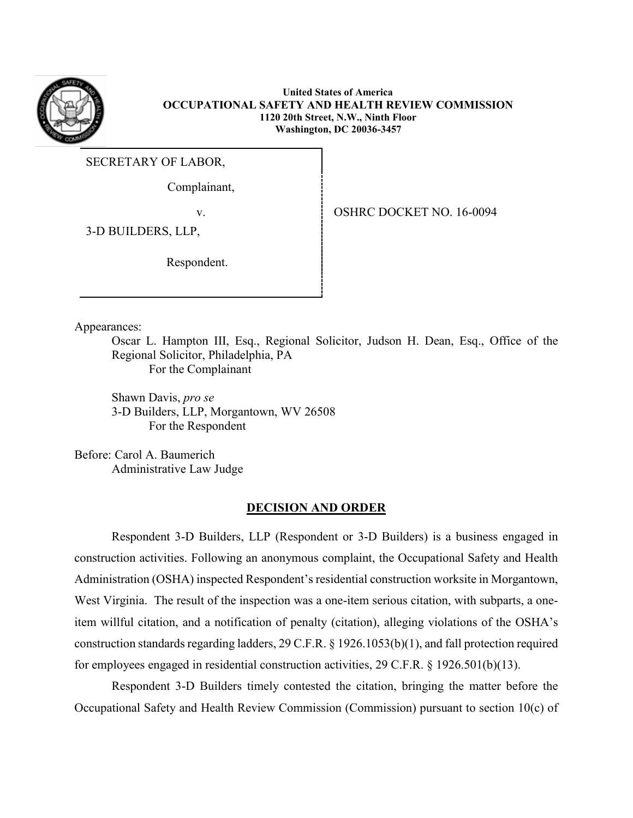

**United States of America OCCUPATIONAL SAFETY AND HEALTH REVIEW COMMISSION 1120 20th Street, N.W., Ninth Floor Washington, DC 20036-3457**

SECRETARY OF LABOR,

Complainant,

v.OSHRC DOCKET NO. 16-0094

3-D BUILDERS, LLP,

Respondent.

Appearances:

Oscar L. Hampton III, Esq., Regional Solicitor, Judson H. Dean, Esq., Office of the Regional Solicitor, Philadelphia, PA For the Complainant

Shawn Davis, *pro se* 3-D Builders, LLP, Morgantown, WV 26508 For the Respondent

Before: Carol A. Baumerich Administrative Law Judge

## **DECISION AND ORDER**

Respondent 3-D Builders, LLP (Respondent or 3-D Builders) is a business engaged in construction activities. Following an anonymous complaint, the Occupational Safety and Health Administration (OSHA) inspected Respondent's residential construction worksite in Morgantown, West Virginia. The result of the inspection was a one-item serious citation, with subparts, a oneitem willful citation, and a notification of penalty (citation), alleging violations of the OSHA's construction standards regarding ladders, 29 C.F.R. § 1926.1053(b)(1), and fall protection required for employees engaged in residential construction activities, 29 C.F.R. § 1926.501(b)(13).

Respondent 3-D Builders timely contested the citation, bringing the matter before the Occupational Safety and Health Review Commission (Commission) pursuant to section 10(c) of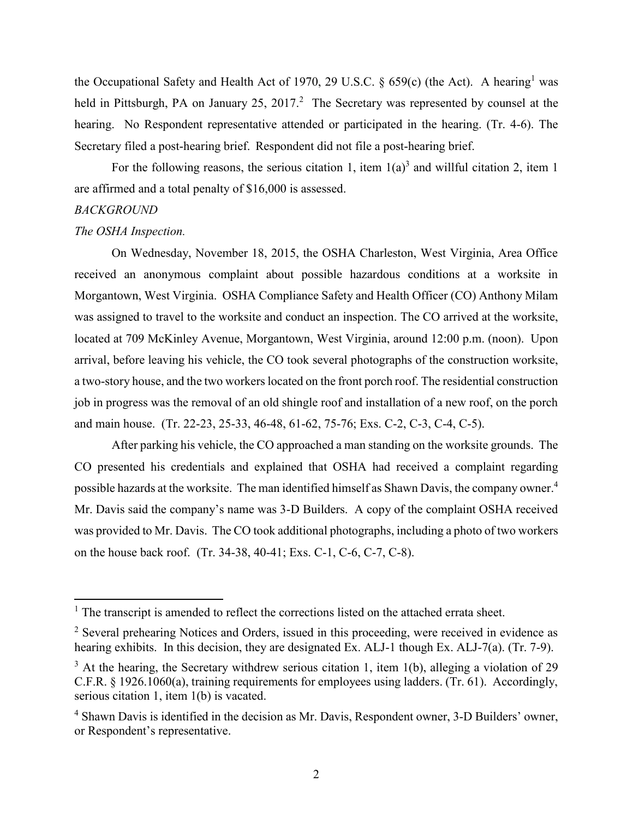the Occupational Safety and Health Act of 1970, 29 U.S.C.  $\S$  659(c) (the Act). A hearing<sup>1</sup> was held in Pittsburgh, PA on January 25, 2017.<sup>2</sup> The Secretary was represented by counsel at the hearing. No Respondent representative attended or participated in the hearing. (Tr. 4-6). The Secretary filed a post-hearing brief. Respondent did not file a post-hearing brief.

For the following reasons, the serious citation 1, item  $1(a)^3$  and willful citation 2, item 1 are affirmed and a total penalty of \$16,000 is assessed.

# *BACKGROUND*

 $\overline{a}$ 

#### *The OSHA Inspection.*

On Wednesday, November 18, 2015, the OSHA Charleston, West Virginia, Area Office received an anonymous complaint about possible hazardous conditions at a worksite in Morgantown, West Virginia. OSHA Compliance Safety and Health Officer (CO) Anthony Milam was assigned to travel to the worksite and conduct an inspection. The CO arrived at the worksite, located at 709 McKinley Avenue, Morgantown, West Virginia, around 12:00 p.m. (noon). Upon arrival, before leaving his vehicle, the CO took several photographs of the construction worksite, a two-story house, and the two workers located on the front porch roof. The residential construction job in progress was the removal of an old shingle roof and installation of a new roof, on the porch and main house. (Tr. 22-23, 25-33, 46-48, 61-62, 75-76; Exs. C-2, C-3, C-4, C-5).

After parking his vehicle, the CO approached a man standing on the worksite grounds. The CO presented his credentials and explained that OSHA had received a complaint regarding possible hazards at the worksite. The man identified himself as Shawn Davis, the company owner.<sup>4</sup> Mr. Davis said the company's name was 3-D Builders. A copy of the complaint OSHA received was provided to Mr. Davis. The CO took additional photographs, including a photo of two workers on the house back roof. (Tr. 34-38, 40-41; Exs. C-1, C-6, C-7, C-8).

 $<sup>1</sup>$  The transcript is amended to reflect the corrections listed on the attached errata sheet.</sup>

<sup>&</sup>lt;sup>2</sup> Several prehearing Notices and Orders, issued in this proceeding, were received in evidence as hearing exhibits. In this decision, they are designated Ex. ALJ-1 though Ex. ALJ-7(a). (Tr. 7-9).

 $3$  At the hearing, the Secretary withdrew serious citation 1, item 1(b), alleging a violation of 29 C.F.R. § 1926.1060(a), training requirements for employees using ladders. (Tr. 61). Accordingly, serious citation 1, item 1(b) is vacated.

<sup>4</sup> Shawn Davis is identified in the decision as Mr. Davis, Respondent owner, 3-D Builders' owner, or Respondent's representative.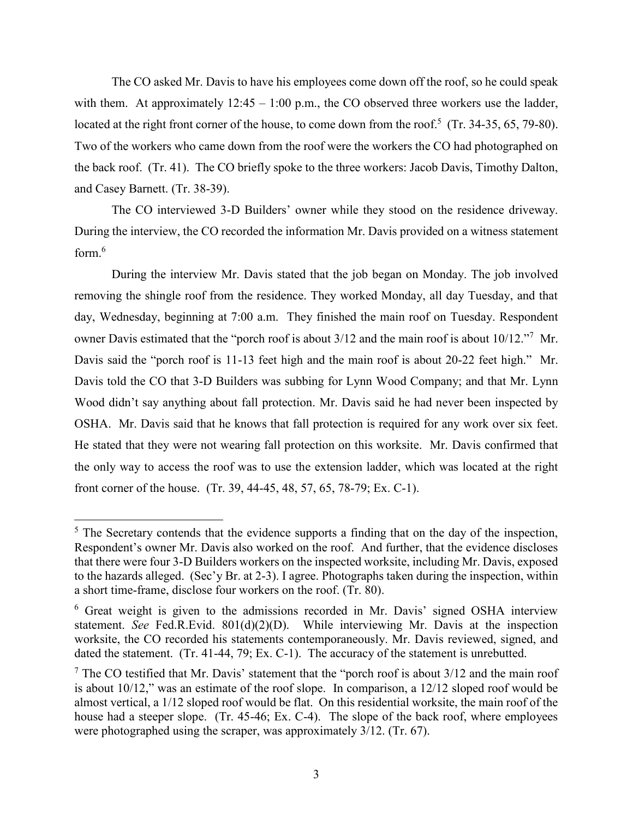The CO asked Mr. Davis to have his employees come down off the roof, so he could speak with them. At approximately  $12:45 - 1:00$  p.m., the CO observed three workers use the ladder, located at the right front corner of the house, to come down from the roof.<sup>5</sup> (Tr. 34-35, 65, 79-80). Two of the workers who came down from the roof were the workers the CO had photographed on the back roof. (Tr. 41). The CO briefly spoke to the three workers: Jacob Davis, Timothy Dalton, and Casey Barnett. (Tr. 38-39).

The CO interviewed 3-D Builders' owner while they stood on the residence driveway. During the interview, the CO recorded the information Mr. Davis provided on a witness statement form. 6

During the interview Mr. Davis stated that the job began on Monday. The job involved removing the shingle roof from the residence. They worked Monday, all day Tuesday, and that day, Wednesday, beginning at 7:00 a.m. They finished the main roof on Tuesday. Respondent owner Davis estimated that the "porch roof is about 3/12 and the main roof is about 10/12."<sup>7</sup> Mr. Davis said the "porch roof is 11-13 feet high and the main roof is about 20-22 feet high." Mr. Davis told the CO that 3-D Builders was subbing for Lynn Wood Company; and that Mr. Lynn Wood didn't say anything about fall protection. Mr. Davis said he had never been inspected by OSHA. Mr. Davis said that he knows that fall protection is required for any work over six feet. He stated that they were not wearing fall protection on this worksite. Mr. Davis confirmed that the only way to access the roof was to use the extension ladder, which was located at the right front corner of the house. (Tr. 39, 44-45, 48, 57, 65, 78-79; Ex. C-1).

 $<sup>5</sup>$  The Secretary contends that the evidence supports a finding that on the day of the inspection,</sup> Respondent's owner Mr. Davis also worked on the roof. And further, that the evidence discloses that there were four 3-D Builders workers on the inspected worksite, including Mr. Davis, exposed to the hazards alleged. (Sec'y Br. at 2-3). I agree. Photographs taken during the inspection, within a short time-frame, disclose four workers on the roof. (Tr. 80).

<sup>6</sup> Great weight is given to the admissions recorded in Mr. Davis' signed OSHA interview statement. *See* Fed.R.Evid. 801(d)(2)(D). While interviewing Mr. Davis at the inspection worksite, the CO recorded his statements contemporaneously. Mr. Davis reviewed, signed, and dated the statement. (Tr. 41-44, 79; Ex. C-1). The accuracy of the statement is unrebutted.

 $<sup>7</sup>$  The CO testified that Mr. Davis' statement that the "porch roof is about 3/12 and the main roof</sup> is about 10/12," was an estimate of the roof slope. In comparison, a 12/12 sloped roof would be almost vertical, a 1/12 sloped roof would be flat. On this residential worksite, the main roof of the house had a steeper slope. (Tr. 45-46; Ex. C-4). The slope of the back roof, where employees were photographed using the scraper, was approximately 3/12. (Tr. 67).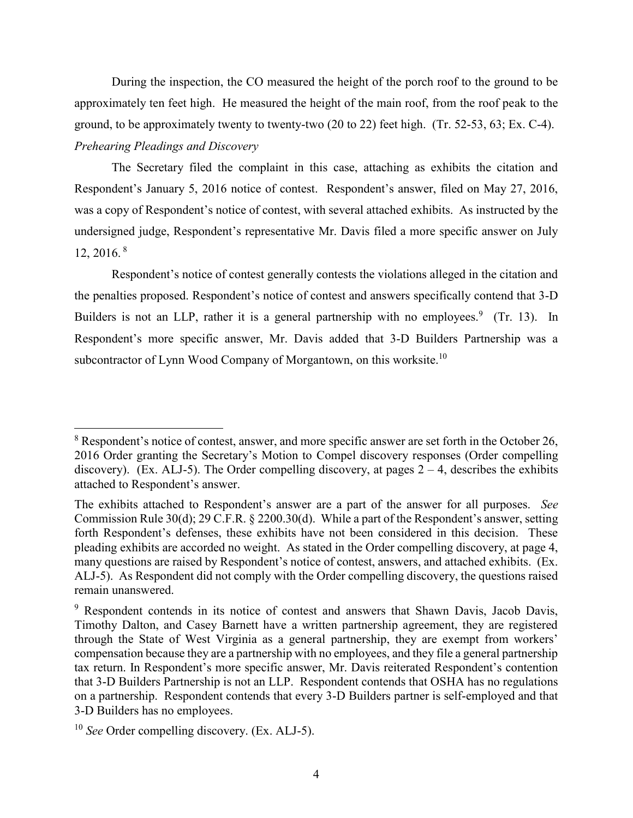During the inspection, the CO measured the height of the porch roof to the ground to be approximately ten feet high. He measured the height of the main roof, from the roof peak to the ground, to be approximately twenty to twenty-two (20 to 22) feet high. (Tr. 52-53, 63; Ex. C-4). *Prehearing Pleadings and Discovery*

The Secretary filed the complaint in this case, attaching as exhibits the citation and Respondent's January 5, 2016 notice of contest. Respondent's answer, filed on May 27, 2016, was a copy of Respondent's notice of contest, with several attached exhibits. As instructed by the undersigned judge, Respondent's representative Mr. Davis filed a more specific answer on July 12, 2016. <sup>8</sup>

Respondent's notice of contest generally contests the violations alleged in the citation and the penalties proposed. Respondent's notice of contest and answers specifically contend that 3-D Builders is not an LLP, rather it is a general partnership with no employees.<sup>9</sup> (Tr. 13). In Respondent's more specific answer, Mr. Davis added that 3-D Builders Partnership was a subcontractor of Lynn Wood Company of Morgantown, on this worksite.<sup>10</sup>

<sup>&</sup>lt;sup>8</sup> Respondent's notice of contest, answer, and more specific answer are set forth in the October 26, 2016 Order granting the Secretary's Motion to Compel discovery responses (Order compelling discovery). (Ex. ALJ-5). The Order compelling discovery, at pages  $2 - 4$ , describes the exhibits attached to Respondent's answer.

The exhibits attached to Respondent's answer are a part of the answer for all purposes. *See*  Commission Rule 30(d); 29 C.F.R. § 2200.30(d). While a part of the Respondent's answer, setting forth Respondent's defenses, these exhibits have not been considered in this decision. These pleading exhibits are accorded no weight. As stated in the Order compelling discovery, at page 4, many questions are raised by Respondent's notice of contest, answers, and attached exhibits. (Ex. ALJ-5). As Respondent did not comply with the Order compelling discovery, the questions raised remain unanswered.

<sup>&</sup>lt;sup>9</sup> Respondent contends in its notice of contest and answers that Shawn Davis, Jacob Davis, Timothy Dalton, and Casey Barnett have a written partnership agreement, they are registered through the State of West Virginia as a general partnership, they are exempt from workers' compensation because they are a partnership with no employees, and they file a general partnership tax return. In Respondent's more specific answer, Mr. Davis reiterated Respondent's contention that 3-D Builders Partnership is not an LLP. Respondent contends that OSHA has no regulations on a partnership. Respondent contends that every 3-D Builders partner is self-employed and that 3-D Builders has no employees.

<sup>10</sup> *See* Order compelling discovery. (Ex. ALJ-5).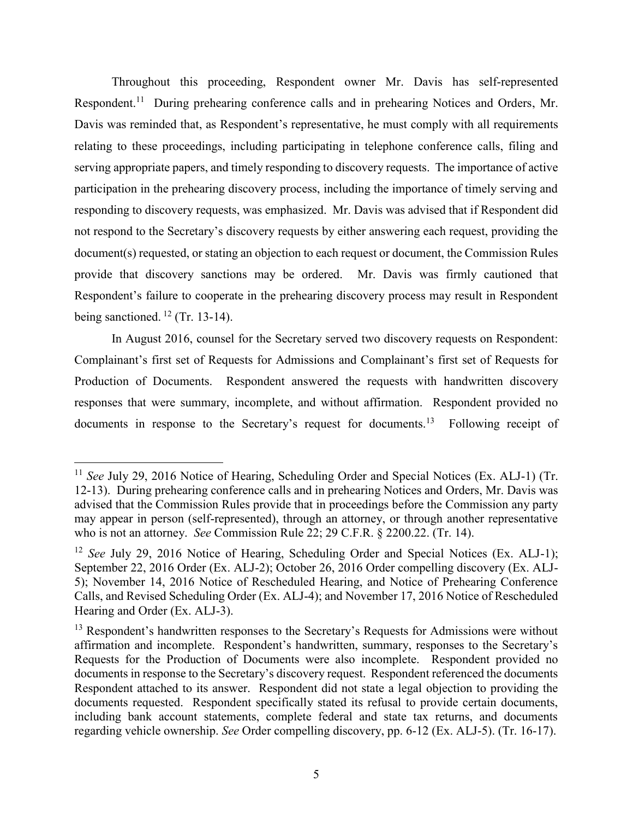Throughout this proceeding, Respondent owner Mr. Davis has self-represented Respondent.<sup>11</sup> During prehearing conference calls and in prehearing Notices and Orders, Mr. Davis was reminded that, as Respondent's representative, he must comply with all requirements relating to these proceedings, including participating in telephone conference calls, filing and serving appropriate papers, and timely responding to discovery requests. The importance of active participation in the prehearing discovery process, including the importance of timely serving and responding to discovery requests, was emphasized. Mr. Davis was advised that if Respondent did not respond to the Secretary's discovery requests by either answering each request, providing the document(s) requested, or stating an objection to each request or document, the Commission Rules provide that discovery sanctions may be ordered. Mr. Davis was firmly cautioned that Respondent's failure to cooperate in the prehearing discovery process may result in Respondent being sanctioned.  $^{12}$  (Tr. 13-14).

In August 2016, counsel for the Secretary served two discovery requests on Respondent: Complainant's first set of Requests for Admissions and Complainant's first set of Requests for Production of Documents. Respondent answered the requests with handwritten discovery responses that were summary, incomplete, and without affirmation. Respondent provided no documents in response to the Secretary's request for documents.<sup>13</sup> Following receipt of

<sup>&</sup>lt;sup>11</sup> See July 29, 2016 Notice of Hearing, Scheduling Order and Special Notices (Ex. ALJ-1) (Tr. 12-13). During prehearing conference calls and in prehearing Notices and Orders, Mr. Davis was advised that the Commission Rules provide that in proceedings before the Commission any party may appear in person (self-represented), through an attorney, or through another representative who is not an attorney. *See* Commission Rule 22; 29 C.F.R. § 2200.22. (Tr. 14).

<sup>&</sup>lt;sup>12</sup> *See* July 29, 2016 Notice of Hearing, Scheduling Order and Special Notices (Ex. ALJ-1); September 22, 2016 Order (Ex. ALJ-2); October 26, 2016 Order compelling discovery (Ex. ALJ-5); November 14, 2016 Notice of Rescheduled Hearing, and Notice of Prehearing Conference Calls, and Revised Scheduling Order (Ex. ALJ-4); and November 17, 2016 Notice of Rescheduled Hearing and Order (Ex. ALJ-3).

 $<sup>13</sup>$  Respondent's handwritten responses to the Secretary's Requests for Admissions were without</sup> affirmation and incomplete. Respondent's handwritten, summary, responses to the Secretary's Requests for the Production of Documents were also incomplete. Respondent provided no documents in response to the Secretary's discovery request. Respondent referenced the documents Respondent attached to its answer. Respondent did not state a legal objection to providing the documents requested. Respondent specifically stated its refusal to provide certain documents, including bank account statements, complete federal and state tax returns, and documents regarding vehicle ownership. *See* Order compelling discovery, pp. 6-12 (Ex. ALJ-5). (Tr. 16-17).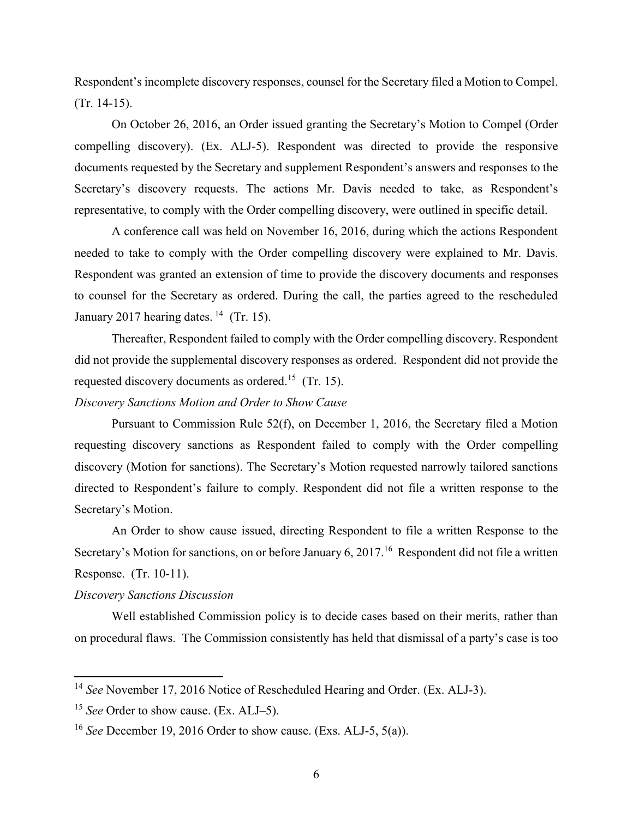Respondent's incomplete discovery responses, counsel for the Secretary filed a Motion to Compel. (Tr. 14-15).

On October 26, 2016, an Order issued granting the Secretary's Motion to Compel (Order compelling discovery). (Ex. ALJ-5). Respondent was directed to provide the responsive documents requested by the Secretary and supplement Respondent's answers and responses to the Secretary's discovery requests. The actions Mr. Davis needed to take, as Respondent's representative, to comply with the Order compelling discovery, were outlined in specific detail.

A conference call was held on November 16, 2016, during which the actions Respondent needed to take to comply with the Order compelling discovery were explained to Mr. Davis. Respondent was granted an extension of time to provide the discovery documents and responses to counsel for the Secretary as ordered. During the call, the parties agreed to the rescheduled January 2017 hearing dates.  $14$  (Tr. 15).

Thereafter, Respondent failed to comply with the Order compelling discovery. Respondent did not provide the supplemental discovery responses as ordered. Respondent did not provide the requested discovery documents as ordered.<sup>15</sup> (Tr. 15).

# *Discovery Sanctions Motion and Order to Show Cause*

Pursuant to Commission Rule 52(f), on December 1, 2016, the Secretary filed a Motion requesting discovery sanctions as Respondent failed to comply with the Order compelling discovery (Motion for sanctions). The Secretary's Motion requested narrowly tailored sanctions directed to Respondent's failure to comply. Respondent did not file a written response to the Secretary's Motion.

An Order to show cause issued, directing Respondent to file a written Response to the Secretary's Motion for sanctions, on or before January 6, 2017.<sup>16</sup> Respondent did not file a written Response. (Tr. 10-11).

#### *Discovery Sanctions Discussion*

 $\overline{a}$ 

Well established Commission policy is to decide cases based on their merits, rather than on procedural flaws. The Commission consistently has held that dismissal of a party's case is too

<sup>&</sup>lt;sup>14</sup> See November 17, 2016 Notice of Rescheduled Hearing and Order. (Ex. ALJ-3).

<sup>15</sup> *See* Order to show cause. (Ex. ALJ–5).

<sup>16</sup> *See* December 19, 2016 Order to show cause. (Exs. ALJ-5, 5(a)).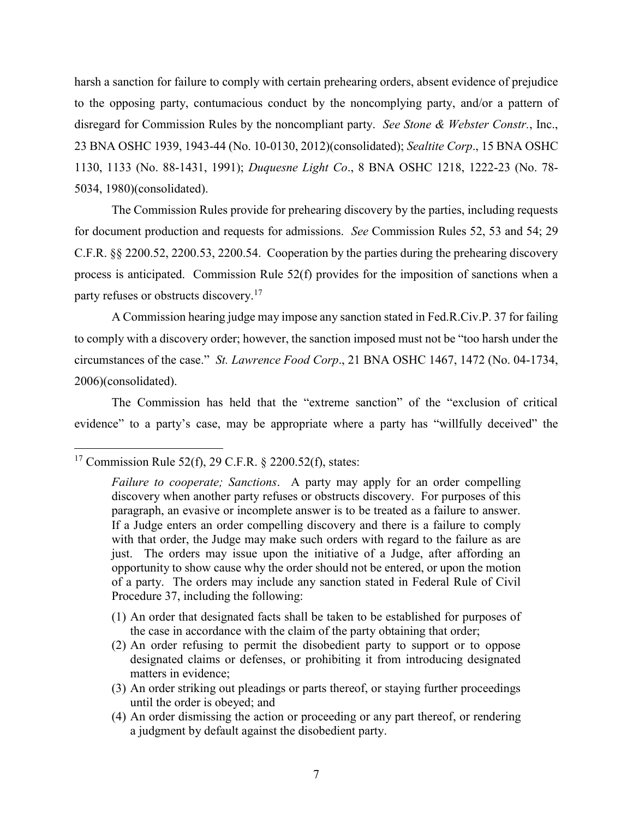harsh a sanction for failure to comply with certain prehearing orders, absent evidence of prejudice to the opposing party, contumacious conduct by the noncomplying party, and/or a pattern of disregard for Commission Rules by the noncompliant party. *See Stone & Webster Constr.*, Inc., 23 BNA OSHC 1939, 1943-44 (No. 10-0130, 2012)(consolidated); *Sealtite Corp*., 15 BNA OSHC 1130, 1133 (No. 88-1431, 1991); *Duquesne Light Co*., 8 BNA OSHC 1218, 1222-23 (No. 78- 5034, 1980)(consolidated).

The Commission Rules provide for prehearing discovery by the parties, including requests for document production and requests for admissions. *See* Commission Rules 52, 53 and 54; 29 C.F.R. §§ 2200.52, 2200.53, 2200.54. Cooperation by the parties during the prehearing discovery process is anticipated. Commission Rule 52(f) provides for the imposition of sanctions when a party refuses or obstructs discovery.<sup>17</sup>

A Commission hearing judge may impose any sanction stated in Fed.R.Civ.P. 37 for failing to comply with a discovery order; however, the sanction imposed must not be "too harsh under the circumstances of the case." *St. Lawrence Food Corp*., 21 BNA OSHC 1467, 1472 (No. 04-1734, 2006)(consolidated).

The Commission has held that the "extreme sanction" of the "exclusion of critical evidence" to a party's case, may be appropriate where a party has "willfully deceived" the

- (1) An order that designated facts shall be taken to be established for purposes of the case in accordance with the claim of the party obtaining that order;
- (2) An order refusing to permit the disobedient party to support or to oppose designated claims or defenses, or prohibiting it from introducing designated matters in evidence;
- (3) An order striking out pleadings or parts thereof, or staying further proceedings until the order is obeyed; and
- (4) An order dismissing the action or proceeding or any part thereof, or rendering a judgment by default against the disobedient party.

<sup>&</sup>lt;sup>17</sup> Commission Rule 52(f), 29 C.F.R. § 2200.52(f), states:

*Failure to cooperate; Sanctions*. A party may apply for an order compelling discovery when another party refuses or obstructs discovery. For purposes of this paragraph, an evasive or incomplete answer is to be treated as a failure to answer. If a Judge enters an order compelling discovery and there is a failure to comply with that order, the Judge may make such orders with regard to the failure as are just. The orders may issue upon the initiative of a Judge, after affording an opportunity to show cause why the order should not be entered, or upon the motion of a party. The orders may include any sanction stated in Federal Rule of Civil Procedure 37, including the following: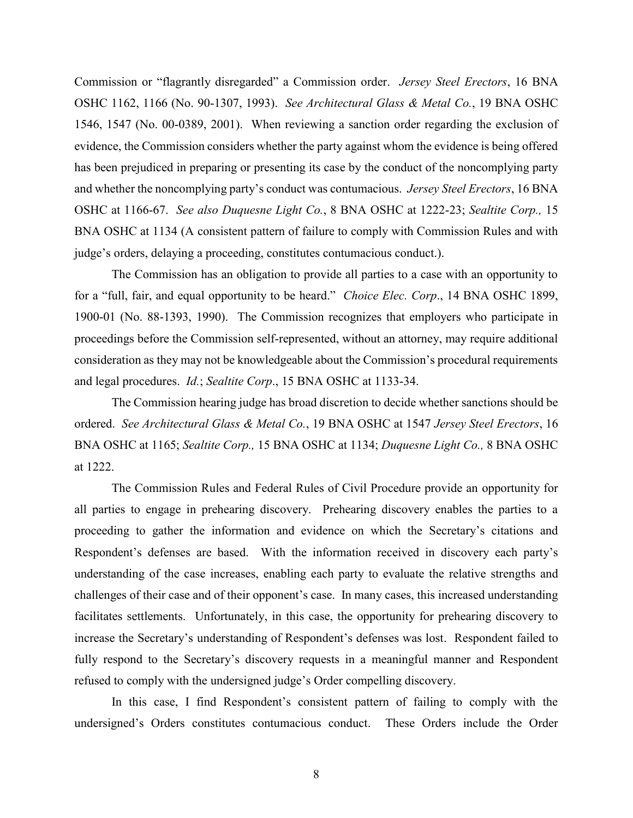Commission or "flagrantly disregarded" a Commission order. *Jersey Steel Erectors*, 16 BNA OSHC 1162, 1166 (No. 90-1307, 1993). *See Architectural Glass & Metal Co.*, 19 BNA OSHC 1546, 1547 (No. 00-0389, 2001). When reviewing a sanction order regarding the exclusion of evidence, the Commission considers whether the party against whom the evidence is being offered has been prejudiced in preparing or presenting its case by the conduct of the noncomplying party and whether the noncomplying party's conduct was contumacious. *Jersey Steel Erectors*, 16 BNA OSHC at 1166-67. *See also Duquesne Light Co.*, 8 BNA OSHC at 1222-23; *Sealtite Corp.,* 15 BNA OSHC at 1134 (A consistent pattern of failure to comply with Commission Rules and with judge's orders, delaying a proceeding, constitutes contumacious conduct.).

The Commission has an obligation to provide all parties to a case with an opportunity to for a "full, fair, and equal opportunity to be heard." *Choice Elec. Corp*., 14 BNA OSHC 1899, 1900-01 (No. 88-1393, 1990). The Commission recognizes that employers who participate in proceedings before the Commission self-represented, without an attorney, may require additional consideration as they may not be knowledgeable about the Commission's procedural requirements and legal procedures. *Id.*; *Sealtite Corp*., 15 BNA OSHC at 1133-34.

The Commission hearing judge has broad discretion to decide whether sanctions should be ordered. *See Architectural Glass & Metal Co.*, 19 BNA OSHC at 1547 *Jersey Steel Erectors*, 16 BNA OSHC at 1165; *Sealtite Corp.,* 15 BNA OSHC at 1134; *Duquesne Light Co.,* 8 BNA OSHC at 1222.

The Commission Rules and Federal Rules of Civil Procedure provide an opportunity for all parties to engage in prehearing discovery. Prehearing discovery enables the parties to a proceeding to gather the information and evidence on which the Secretary's citations and Respondent's defenses are based. With the information received in discovery each party's understanding of the case increases, enabling each party to evaluate the relative strengths and challenges of their case and of their opponent's case. In many cases, this increased understanding facilitates settlements. Unfortunately, in this case, the opportunity for prehearing discovery to increase the Secretary's understanding of Respondent's defenses was lost. Respondent failed to fully respond to the Secretary's discovery requests in a meaningful manner and Respondent refused to comply with the undersigned judge's Order compelling discovery.

In this case, I find Respondent's consistent pattern of failing to comply with the undersigned's Orders constitutes contumacious conduct. These Orders include the Order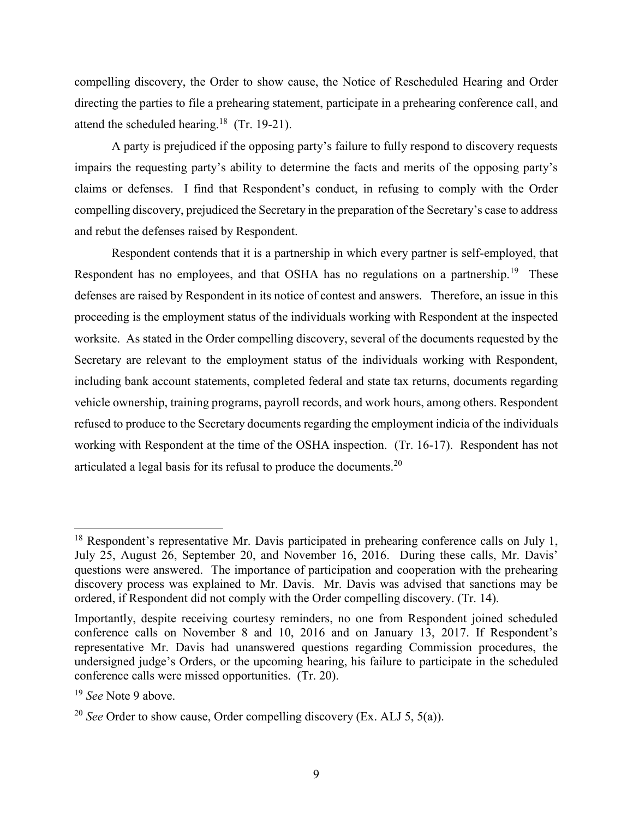compelling discovery, the Order to show cause, the Notice of Rescheduled Hearing and Order directing the parties to file a prehearing statement, participate in a prehearing conference call, and attend the scheduled hearing.<sup>18</sup> (Tr. 19-21).

A party is prejudiced if the opposing party's failure to fully respond to discovery requests impairs the requesting party's ability to determine the facts and merits of the opposing party's claims or defenses. I find that Respondent's conduct, in refusing to comply with the Order compelling discovery, prejudiced the Secretary in the preparation of the Secretary's case to address and rebut the defenses raised by Respondent.

Respondent contends that it is a partnership in which every partner is self-employed, that Respondent has no employees, and that OSHA has no regulations on a partnership.<sup>19</sup> These defenses are raised by Respondent in its notice of contest and answers. Therefore, an issue in this proceeding is the employment status of the individuals working with Respondent at the inspected worksite. As stated in the Order compelling discovery, several of the documents requested by the Secretary are relevant to the employment status of the individuals working with Respondent, including bank account statements, completed federal and state tax returns, documents regarding vehicle ownership, training programs, payroll records, and work hours, among others. Respondent refused to produce to the Secretary documents regarding the employment indicia of the individuals working with Respondent at the time of the OSHA inspection. (Tr. 16-17). Respondent has not articulated a legal basis for its refusal to produce the documents.<sup>20</sup>

 $18$  Respondent's representative Mr. Davis participated in prehearing conference calls on July 1, July 25, August 26, September 20, and November 16, 2016. During these calls, Mr. Davis' questions were answered. The importance of participation and cooperation with the prehearing discovery process was explained to Mr. Davis. Mr. Davis was advised that sanctions may be ordered, if Respondent did not comply with the Order compelling discovery. (Tr. 14).

Importantly, despite receiving courtesy reminders, no one from Respondent joined scheduled conference calls on November 8 and 10, 2016 and on January 13, 2017. If Respondent's representative Mr. Davis had unanswered questions regarding Commission procedures, the undersigned judge's Orders, or the upcoming hearing, his failure to participate in the scheduled conference calls were missed opportunities. (Tr. 20).

<sup>19</sup> *See* Note 9 above.

<sup>&</sup>lt;sup>20</sup> *See* Order to show cause, Order compelling discovery (Ex. ALJ 5, 5(a)).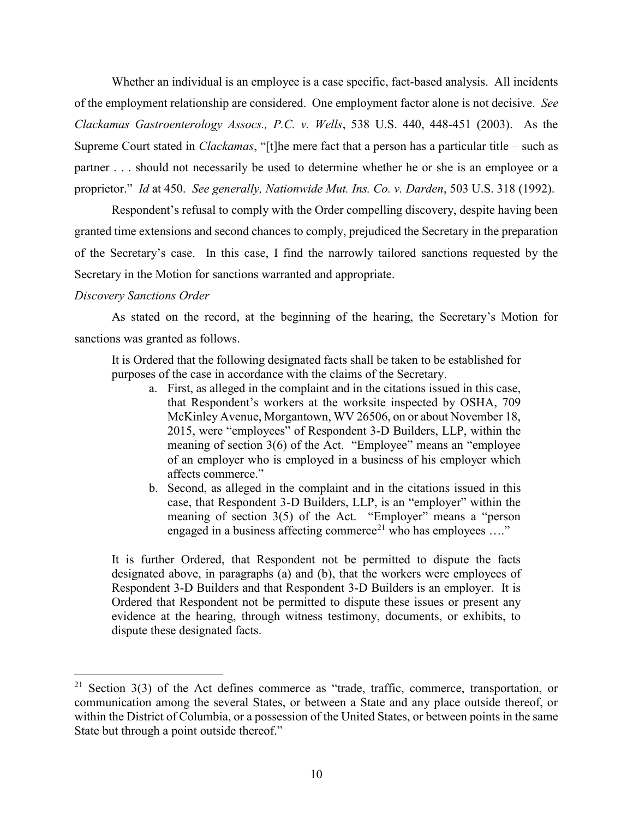Whether an individual is an employee is a case specific, fact-based analysis. All incidents of the employment relationship are considered. One employment factor alone is not decisive. *See Clackamas Gastroenterology Assocs., P.C. v. Wells*, 538 U.S. 440, 448-451 (2003). As the Supreme Court stated in *Clackamas*, "[t]he mere fact that a person has a particular title – such as partner . . . should not necessarily be used to determine whether he or she is an employee or a proprietor." *Id* at 450. *See generally, Nationwide Mut. Ins. Co. v. Darden*, 503 U.S. 318 (1992).

Respondent's refusal to comply with the Order compelling discovery, despite having been granted time extensions and second chances to comply, prejudiced the Secretary in the preparation of the Secretary's case. In this case, I find the narrowly tailored sanctions requested by the Secretary in the Motion for sanctions warranted and appropriate.

#### *Discovery Sanctions Order*

 $\overline{a}$ 

As stated on the record, at the beginning of the hearing, the Secretary's Motion for sanctions was granted as follows.

It is Ordered that the following designated facts shall be taken to be established for purposes of the case in accordance with the claims of the Secretary.

- a. First, as alleged in the complaint and in the citations issued in this case, that Respondent's workers at the worksite inspected by OSHA, 709 McKinley Avenue, Morgantown, WV 26506, on or about November 18, 2015, were "employees" of Respondent 3-D Builders, LLP, within the meaning of section 3(6) of the Act. "Employee" means an "employee of an employer who is employed in a business of his employer which affects commerce."
- b. Second, as alleged in the complaint and in the citations issued in this case, that Respondent 3-D Builders, LLP, is an "employer" within the meaning of section 3(5) of the Act. "Employer" means a "person engaged in a business affecting commerce<sup>21</sup> who has employees ...."

It is further Ordered, that Respondent not be permitted to dispute the facts designated above, in paragraphs (a) and (b), that the workers were employees of Respondent 3-D Builders and that Respondent 3-D Builders is an employer. It is Ordered that Respondent not be permitted to dispute these issues or present any evidence at the hearing, through witness testimony, documents, or exhibits, to dispute these designated facts.

<sup>&</sup>lt;sup>21</sup> Section 3(3) of the Act defines commerce as "trade, traffic, commerce, transportation, or communication among the several States, or between a State and any place outside thereof, or within the District of Columbia, or a possession of the United States, or between points in the same State but through a point outside thereof."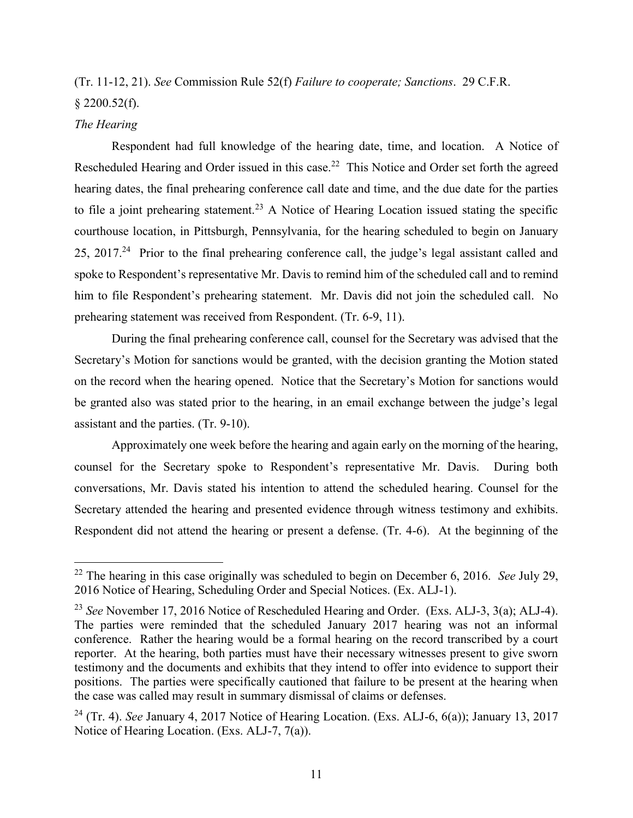# (Tr. 11-12, 21). *See* Commission Rule 52(f) *Failure to cooperate; Sanctions*. 29 C.F.R.  $$2200.52(f).$

# *The Hearing*

 $\overline{a}$ 

Respondent had full knowledge of the hearing date, time, and location. A Notice of Rescheduled Hearing and Order issued in this case.<sup>22</sup> This Notice and Order set forth the agreed hearing dates, the final prehearing conference call date and time, and the due date for the parties to file a joint prehearing statement.<sup>23</sup> A Notice of Hearing Location issued stating the specific courthouse location, in Pittsburgh, Pennsylvania, for the hearing scheduled to begin on January 25, 2017.<sup>24</sup> Prior to the final prehearing conference call, the judge's legal assistant called and spoke to Respondent's representative Mr. Davis to remind him of the scheduled call and to remind him to file Respondent's prehearing statement. Mr. Davis did not join the scheduled call. No prehearing statement was received from Respondent. (Tr. 6-9, 11).

During the final prehearing conference call, counsel for the Secretary was advised that the Secretary's Motion for sanctions would be granted, with the decision granting the Motion stated on the record when the hearing opened. Notice that the Secretary's Motion for sanctions would be granted also was stated prior to the hearing, in an email exchange between the judge's legal assistant and the parties. (Tr. 9-10).

Approximately one week before the hearing and again early on the morning of the hearing, counsel for the Secretary spoke to Respondent's representative Mr. Davis. During both conversations, Mr. Davis stated his intention to attend the scheduled hearing. Counsel for the Secretary attended the hearing and presented evidence through witness testimony and exhibits. Respondent did not attend the hearing or present a defense. (Tr. 4-6). At the beginning of the

<sup>22</sup> The hearing in this case originally was scheduled to begin on December 6, 2016. *See* July 29, 2016 Notice of Hearing, Scheduling Order and Special Notices. (Ex. ALJ-1).

<sup>23</sup> *See* November 17, 2016 Notice of Rescheduled Hearing and Order. (Exs. ALJ-3, 3(a); ALJ-4). The parties were reminded that the scheduled January 2017 hearing was not an informal conference. Rather the hearing would be a formal hearing on the record transcribed by a court reporter. At the hearing, both parties must have their necessary witnesses present to give sworn testimony and the documents and exhibits that they intend to offer into evidence to support their positions. The parties were specifically cautioned that failure to be present at the hearing when the case was called may result in summary dismissal of claims or defenses.

<sup>24</sup> (Tr. 4). *See* January 4, 2017 Notice of Hearing Location. (Exs. ALJ-6, 6(a)); January 13, 2017 Notice of Hearing Location. (Exs. ALJ-7, 7(a)).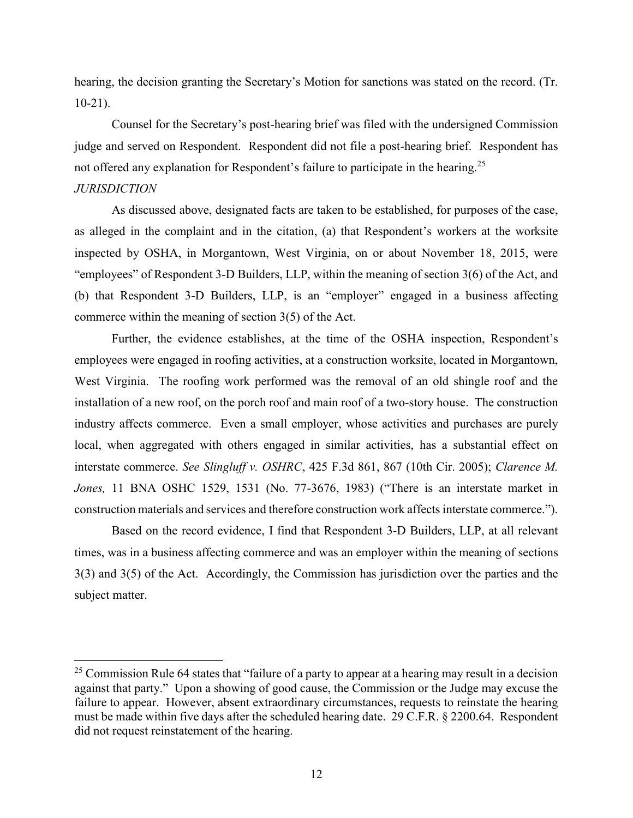hearing, the decision granting the Secretary's Motion for sanctions was stated on the record. (Tr. 10-21).

Counsel for the Secretary's post-hearing brief was filed with the undersigned Commission judge and served on Respondent. Respondent did not file a post-hearing brief. Respondent has not offered any explanation for Respondent's failure to participate in the hearing.<sup>25</sup>

# *JURISDICTION*

 $\overline{a}$ 

As discussed above, designated facts are taken to be established, for purposes of the case, as alleged in the complaint and in the citation, (a) that Respondent's workers at the worksite inspected by OSHA, in Morgantown, West Virginia, on or about November 18, 2015, were "employees" of Respondent 3-D Builders, LLP, within the meaning of section 3(6) of the Act, and (b) that Respondent 3-D Builders, LLP, is an "employer" engaged in a business affecting commerce within the meaning of section 3(5) of the Act.

Further, the evidence establishes, at the time of the OSHA inspection, Respondent's employees were engaged in roofing activities, at a construction worksite, located in Morgantown, West Virginia. The roofing work performed was the removal of an old shingle roof and the installation of a new roof, on the porch roof and main roof of a two-story house. The construction industry affects commerce. Even a small employer, whose activities and purchases are purely local, when aggregated with others engaged in similar activities, has a substantial effect on interstate commerce. *See Slingluff v. OSHRC*, 425 F.3d 861, 867 (10th Cir. 2005); *Clarence M. Jones,* 11 BNA OSHC 1529, 1531 (No. 77-3676, 1983) ("There is an interstate market in construction materials and services and therefore construction work affects interstate commerce.").

Based on the record evidence, I find that Respondent 3-D Builders, LLP, at all relevant times, was in a business affecting commerce and was an employer within the meaning of sections 3(3) and 3(5) of the Act. Accordingly, the Commission has jurisdiction over the parties and the subject matter.

<sup>&</sup>lt;sup>25</sup> Commission Rule 64 states that "failure of a party to appear at a hearing may result in a decision against that party." Upon a showing of good cause, the Commission or the Judge may excuse the failure to appear. However, absent extraordinary circumstances, requests to reinstate the hearing must be made within five days after the scheduled hearing date. 29 C.F.R. § 2200.64. Respondent did not request reinstatement of the hearing.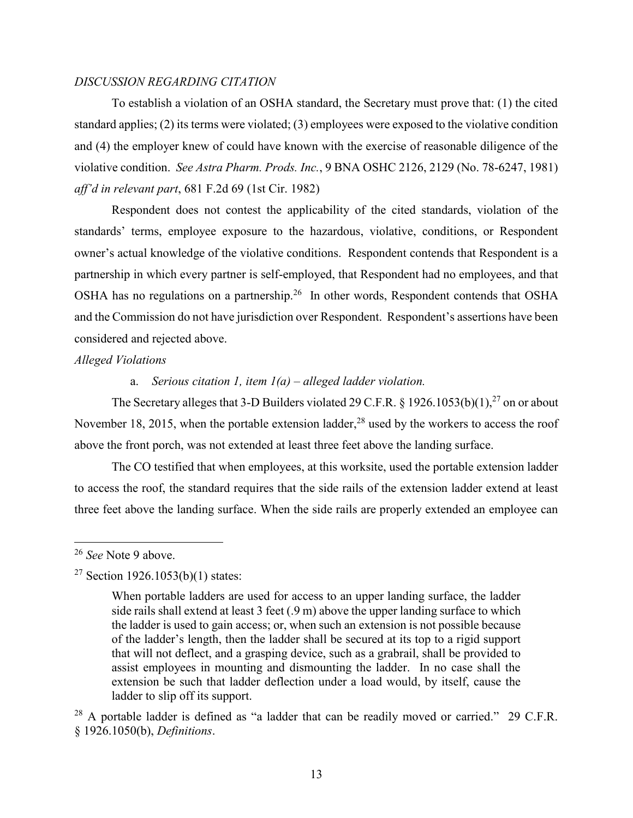## *DISCUSSION REGARDING CITATION*

To establish a violation of an OSHA standard, the Secretary must prove that: (1) the cited standard applies; (2) its terms were violated; (3) employees were exposed to the violative condition and (4) the employer knew of could have known with the exercise of reasonable diligence of the violative condition. *See Astra Pharm. Prods. Inc.*, 9 BNA OSHC 2126, 2129 (No. 78-6247, 1981) *aff'd in relevant part*, 681 F.2d 69 (1st Cir. 1982)

Respondent does not contest the applicability of the cited standards, violation of the standards' terms, employee exposure to the hazardous, violative, conditions, or Respondent owner's actual knowledge of the violative conditions. Respondent contends that Respondent is a partnership in which every partner is self-employed, that Respondent had no employees, and that OSHA has no regulations on a partnership.<sup>26</sup> In other words, Respondent contends that OSHA and the Commission do not have jurisdiction over Respondent. Respondent's assertions have been considered and rejected above.

# *Alleged Violations*

# a. *Serious citation 1, item 1(a) – alleged ladder violation.*

The Secretary alleges that 3-D Builders violated 29 C.F.R. § 1926.1053(b)(1),<sup>27</sup> on or about November 18, 2015, when the portable extension ladder,  $28$  used by the workers to access the roof above the front porch, was not extended at least three feet above the landing surface.

The CO testified that when employees, at this worksite, used the portable extension ladder to access the roof, the standard requires that the side rails of the extension ladder extend at least three feet above the landing surface. When the side rails are properly extended an employee can

<sup>26</sup> *See* Note 9 above.

<sup>&</sup>lt;sup>27</sup> Section 1926.1053(b)(1) states:

When portable ladders are used for access to an upper landing surface, the ladder side rails shall extend at least 3 feet (.9 m) above the upper landing surface to which the ladder is used to gain access; or, when such an extension is not possible because of the ladder's length, then the ladder shall be secured at its top to a rigid support that will not deflect, and a grasping device, such as a grabrail, shall be provided to assist employees in mounting and dismounting the ladder. In no case shall the extension be such that ladder deflection under a load would, by itself, cause the ladder to slip off its support.

 $^{28}$  A portable ladder is defined as "a ladder that can be readily moved or carried." 29 C.F.R. § 1926.1050(b), *Definitions*.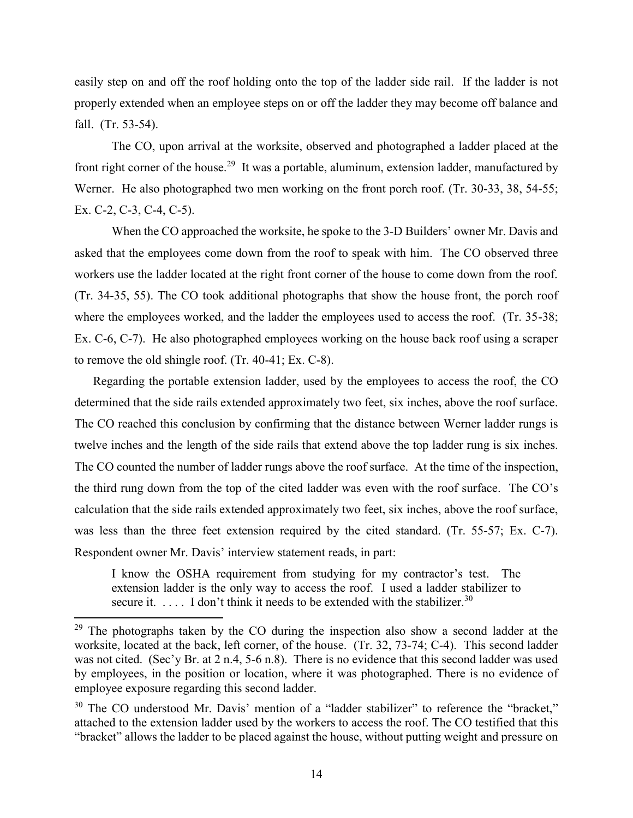easily step on and off the roof holding onto the top of the ladder side rail. If the ladder is not properly extended when an employee steps on or off the ladder they may become off balance and fall. (Tr. 53-54).

The CO, upon arrival at the worksite, observed and photographed a ladder placed at the front right corner of the house.<sup>29</sup> It was a portable, aluminum, extension ladder, manufactured by Werner. He also photographed two men working on the front porch roof. (Tr. 30-33, 38, 54-55; Ex. C-2, C-3, C-4, C-5).

When the CO approached the worksite, he spoke to the 3-D Builders' owner Mr. Davis and asked that the employees come down from the roof to speak with him. The CO observed three workers use the ladder located at the right front corner of the house to come down from the roof. (Tr. 34-35, 55). The CO took additional photographs that show the house front, the porch roof where the employees worked, and the ladder the employees used to access the roof. (Tr. 35-38; Ex. C-6, C-7). He also photographed employees working on the house back roof using a scraper to remove the old shingle roof. (Tr. 40-41; Ex. C-8).

Regarding the portable extension ladder, used by the employees to access the roof, the CO determined that the side rails extended approximately two feet, six inches, above the roof surface. The CO reached this conclusion by confirming that the distance between Werner ladder rungs is twelve inches and the length of the side rails that extend above the top ladder rung is six inches. The CO counted the number of ladder rungs above the roof surface. At the time of the inspection, the third rung down from the top of the cited ladder was even with the roof surface. The CO's calculation that the side rails extended approximately two feet, six inches, above the roof surface, was less than the three feet extension required by the cited standard. (Tr. 55-57; Ex. C-7). Respondent owner Mr. Davis' interview statement reads, in part:

I know the OSHA requirement from studying for my contractor's test. The extension ladder is the only way to access the roof. I used a ladder stabilizer to secure it.  $\dots$  I don't think it needs to be extended with the stabilizer.<sup>30</sup>

 $29$  The photographs taken by the CO during the inspection also show a second ladder at the worksite, located at the back, left corner, of the house. (Tr. 32, 73-74; C-4). This second ladder was not cited. (Sec'y Br. at 2 n.4, 5-6 n.8). There is no evidence that this second ladder was used by employees, in the position or location, where it was photographed. There is no evidence of employee exposure regarding this second ladder.

 $30$  The CO understood Mr. Davis' mention of a "ladder stabilizer" to reference the "bracket," attached to the extension ladder used by the workers to access the roof. The CO testified that this "bracket" allows the ladder to be placed against the house, without putting weight and pressure on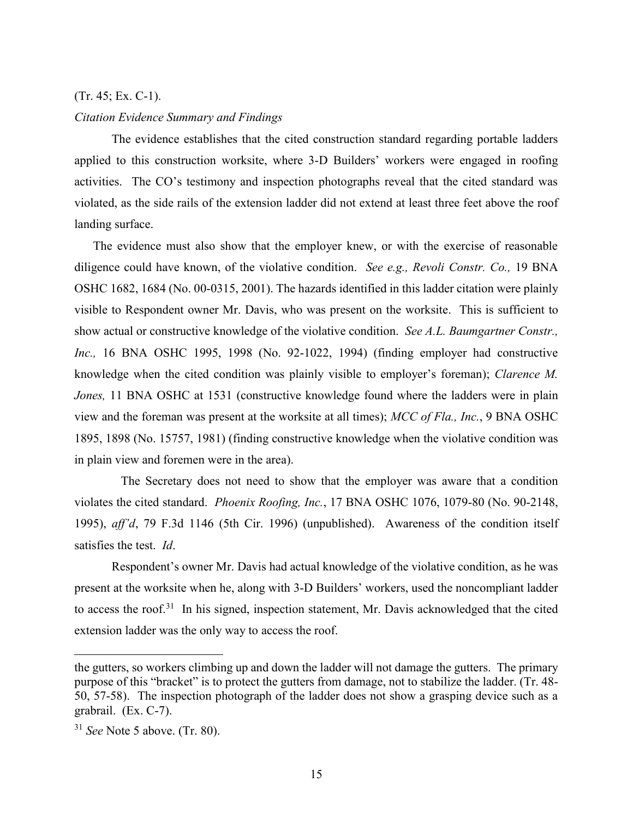# (Tr. 45; Ex. C-1).

#### *Citation Evidence Summary and Findings*

The evidence establishes that the cited construction standard regarding portable ladders applied to this construction worksite, where 3-D Builders' workers were engaged in roofing activities. The CO's testimony and inspection photographs reveal that the cited standard was violated, as the side rails of the extension ladder did not extend at least three feet above the roof landing surface.

The evidence must also show that the employer knew, or with the exercise of reasonable diligence could have known, of the violative condition. *See e.g., Revoli Constr. Co.,* 19 BNA OSHC 1682, 1684 (No. 00-0315, 2001). The hazards identified in this ladder citation were plainly visible to Respondent owner Mr. Davis, who was present on the worksite. This is sufficient to show actual or constructive knowledge of the violative condition. *See A.L. Baumgartner Constr., Inc.,* 16 BNA OSHC 1995, 1998 (No. 92-1022, 1994) (finding employer had constructive knowledge when the cited condition was plainly visible to employer's foreman); *Clarence M. Jones*, 11 BNA OSHC at 1531 (constructive knowledge found where the ladders were in plain view and the foreman was present at the worksite at all times); *MCC of Fla., Inc.*, 9 BNA OSHC 1895, 1898 (No. 15757, 1981) (finding constructive knowledge when the violative condition was in plain view and foremen were in the area).

The Secretary does not need to show that the employer was aware that a condition violates the cited standard. *Phoenix Roofing, Inc.*, 17 BNA OSHC 1076, 1079-80 (No. 90-2148, 1995), *aff'd*, 79 F.3d 1146 (5th Cir. 1996) (unpublished). Awareness of the condition itself satisfies the test. *Id*.

Respondent's owner Mr. Davis had actual knowledge of the violative condition, as he was present at the worksite when he, along with 3-D Builders' workers, used the noncompliant ladder to access the roof.<sup>31</sup> In his signed, inspection statement, Mr. Davis acknowledged that the cited extension ladder was the only way to access the roof.

the gutters, so workers climbing up and down the ladder will not damage the gutters. The primary purpose of this "bracket" is to protect the gutters from damage, not to stabilize the ladder. (Tr. 48- 50, 57-58). The inspection photograph of the ladder does not show a grasping device such as a grabrail. (Ex. C-7).

<sup>31</sup> *See* Note 5 above. (Tr. 80).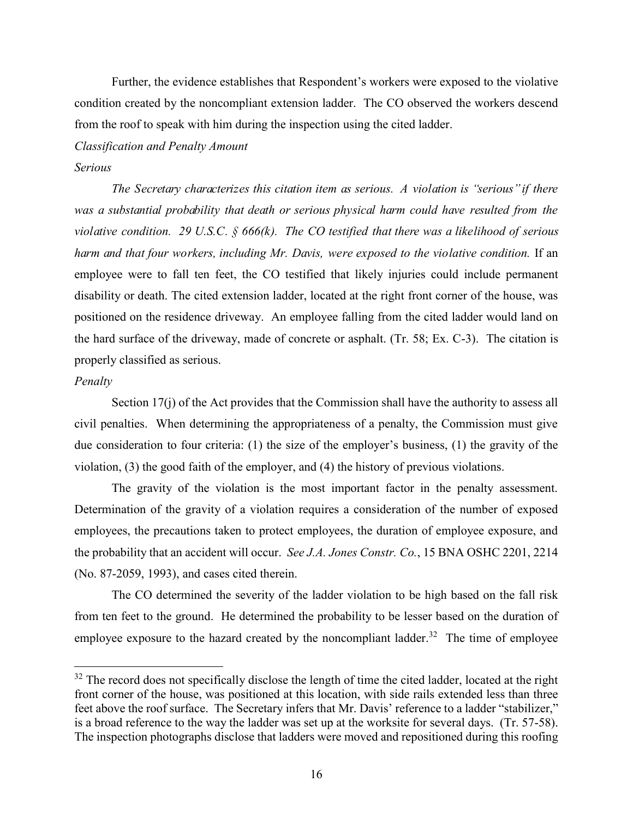Further, the evidence establishes that Respondent's workers were exposed to the violative condition created by the noncompliant extension ladder. The CO observed the workers descend from the roof to speak with him during the inspection using the cited ladder.

#### *Classification and Penalty Amount*

### *Serious*

*The Secretary characterizes this citation item as serious. A violation is "serious" if there was a substantial probability that death or serious physical harm could have resulted from the violative condition. 29 U.S.C. § 666(k). The CO testified that there was a likelihood of serious harm and that four workers, including Mr. Davis, were exposed to the violative condition.* If an employee were to fall ten feet, the CO testified that likely injuries could include permanent disability or death. The cited extension ladder, located at the right front corner of the house, was positioned on the residence driveway. An employee falling from the cited ladder would land on the hard surface of the driveway, made of concrete or asphalt. (Tr. 58; Ex. C-3). The citation is properly classified as serious.

### *Penalty*

 $\overline{a}$ 

Section 17(j) of the Act provides that the Commission shall have the authority to assess all civil penalties. When determining the appropriateness of a penalty, the Commission must give due consideration to four criteria: (1) the size of the employer's business, (1) the gravity of the violation, (3) the good faith of the employer, and (4) the history of previous violations.

The gravity of the violation is the most important factor in the penalty assessment. Determination of the gravity of a violation requires a consideration of the number of exposed employees, the precautions taken to protect employees, the duration of employee exposure, and the probability that an accident will occur. *See J.A. Jones Constr. Co.*, 15 BNA OSHC 2201, 2214 (No. 87-2059, 1993), and cases cited therein.

The CO determined the severity of the ladder violation to be high based on the fall risk from ten feet to the ground. He determined the probability to be lesser based on the duration of employee exposure to the hazard created by the noncompliant ladder.<sup>32</sup> The time of employee

<sup>&</sup>lt;sup>32</sup> The record does not specifically disclose the length of time the cited ladder, located at the right front corner of the house, was positioned at this location, with side rails extended less than three feet above the roof surface. The Secretary infers that Mr. Davis' reference to a ladder "stabilizer," is a broad reference to the way the ladder was set up at the worksite for several days. (Tr. 57-58). The inspection photographs disclose that ladders were moved and repositioned during this roofing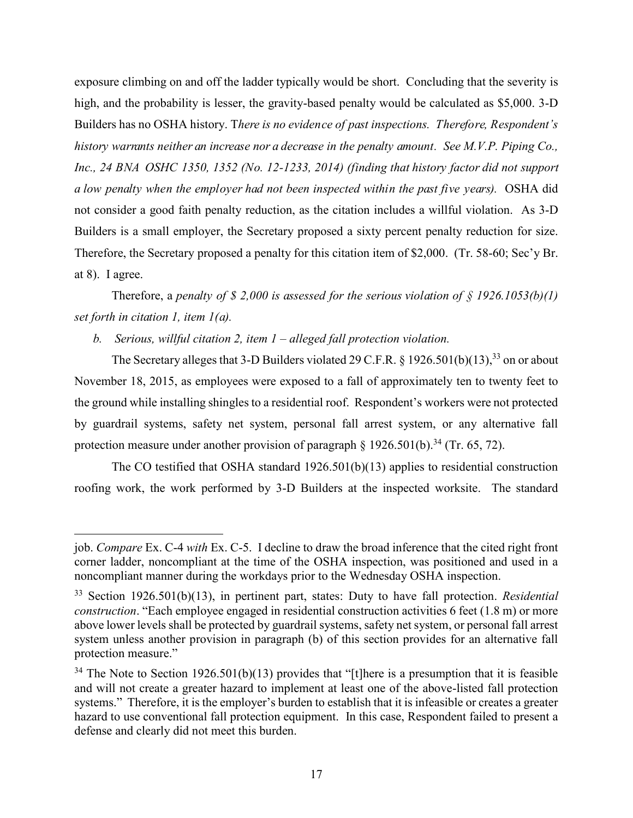exposure climbing on and off the ladder typically would be short. Concluding that the severity is high, and the probability is lesser, the gravity-based penalty would be calculated as \$5,000. 3-D Builders has no OSHA history. T*here is no evidence of past inspections. Therefore, Respondent's history warrants neither an increase nor a decrease in the penalty amount. See M.V.P. Piping Co., Inc., 24 BNA OSHC 1350, 1352 (No. 12-1233, 2014) (finding that history factor did not support a low penalty when the employer had not been inspected within the past five years).* OSHA did not consider a good faith penalty reduction, as the citation includes a willful violation. As 3-D Builders is a small employer, the Secretary proposed a sixty percent penalty reduction for size. Therefore, the Secretary proposed a penalty for this citation item of \$2,000. (Tr. 58-60; Sec'y Br. at 8). I agree.

Therefore, a *penalty of \$ 2,000 is assessed for the serious violation of § 1926.1053(b)(1) set forth in citation 1, item 1(a).*

*b. Serious, willful citation 2, item 1 – alleged fall protection violation.* 

 $\overline{a}$ 

The Secretary alleges that 3-D Builders violated 29 C.F.R. § 1926.501(b)(13),<sup>33</sup> on or about November 18, 2015, as employees were exposed to a fall of approximately ten to twenty feet to the ground while installing shingles to a residential roof. Respondent's workers were not protected by guardrail systems, safety net system, personal fall arrest system, or any alternative fall protection measure under another provision of paragraph  $\S$  1926.501(b).<sup>34</sup> (Tr. 65, 72).

The CO testified that OSHA standard 1926.501(b)(13) applies to residential construction roofing work, the work performed by 3-D Builders at the inspected worksite. The standard

job. *Compare* Ex. C-4 *with* Ex. C-5. I decline to draw the broad inference that the cited right front corner ladder, noncompliant at the time of the OSHA inspection, was positioned and used in a noncompliant manner during the workdays prior to the Wednesday OSHA inspection.

<sup>33</sup> Section 1926.501(b)(13), in pertinent part, states: Duty to have fall protection. *Residential construction*. "Each employee engaged in residential construction activities 6 feet (1.8 m) or more above lower levels shall be protected by guardrail systems, safety net system, or personal fall arrest system unless another provision in paragraph (b) of this section provides for an alternative fall protection measure."

<sup>&</sup>lt;sup>34</sup> The Note to Section 1926.501(b)(13) provides that "[t]here is a presumption that it is feasible and will not create a greater hazard to implement at least one of the above-listed fall protection systems." Therefore, it is the employer's burden to establish that it is infeasible or creates a greater hazard to use conventional fall protection equipment. In this case, Respondent failed to present a defense and clearly did not meet this burden.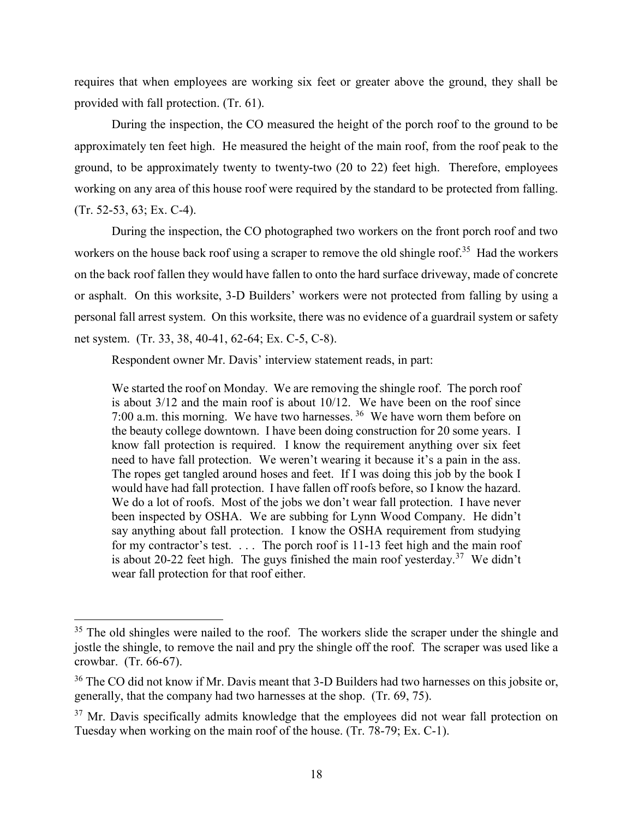requires that when employees are working six feet or greater above the ground, they shall be provided with fall protection. (Tr. 61).

During the inspection, the CO measured the height of the porch roof to the ground to be approximately ten feet high. He measured the height of the main roof, from the roof peak to the ground, to be approximately twenty to twenty-two (20 to 22) feet high. Therefore, employees working on any area of this house roof were required by the standard to be protected from falling. (Tr. 52-53, 63; Ex. C-4).

During the inspection, the CO photographed two workers on the front porch roof and two workers on the house back roof using a scraper to remove the old shingle roof.<sup>35</sup> Had the workers on the back roof fallen they would have fallen to onto the hard surface driveway, made of concrete or asphalt. On this worksite, 3-D Builders' workers were not protected from falling by using a personal fall arrest system. On this worksite, there was no evidence of a guardrail system or safety net system. (Tr. 33, 38, 40-41, 62-64; Ex. C-5, C-8).

Respondent owner Mr. Davis' interview statement reads, in part:

We started the roof on Monday. We are removing the shingle roof. The porch roof is about 3/12 and the main roof is about 10/12. We have been on the roof since 7:00 a.m. this morning. We have two harnesses.  $36$  We have worn them before on the beauty college downtown. I have been doing construction for 20 some years. I know fall protection is required. I know the requirement anything over six feet need to have fall protection. We weren't wearing it because it's a pain in the ass. The ropes get tangled around hoses and feet. If I was doing this job by the book I would have had fall protection. I have fallen off roofs before, so I know the hazard. We do a lot of roofs. Most of the jobs we don't wear fall protection. I have never been inspected by OSHA. We are subbing for Lynn Wood Company. He didn't say anything about fall protection. I know the OSHA requirement from studying for my contractor's test. . . . The porch roof is 11-13 feet high and the main roof is about 20-22 feet high. The guys finished the main roof yesterday.<sup>37</sup> We didn't wear fall protection for that roof either.

<sup>&</sup>lt;sup>35</sup> The old shingles were nailed to the roof. The workers slide the scraper under the shingle and jostle the shingle, to remove the nail and pry the shingle off the roof. The scraper was used like a crowbar. (Tr. 66-67).

<sup>&</sup>lt;sup>36</sup> The CO did not know if Mr. Davis meant that 3-D Builders had two harnesses on this jobsite or, generally, that the company had two harnesses at the shop. (Tr. 69, 75).

 $37$  Mr. Davis specifically admits knowledge that the employees did not wear fall protection on Tuesday when working on the main roof of the house. (Tr. 78-79; Ex. C-1).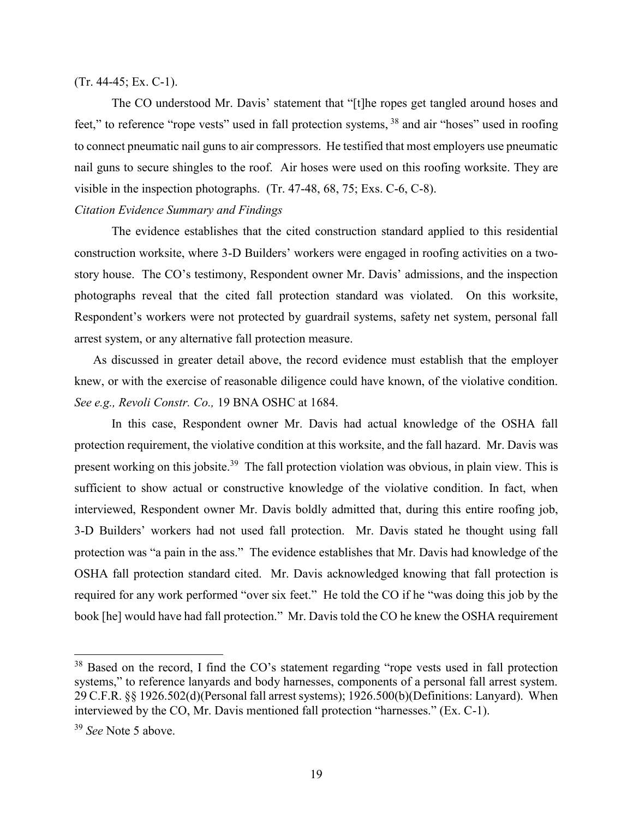## (Tr. 44-45; Ex. C-1).

The CO understood Mr. Davis' statement that "[t]he ropes get tangled around hoses and feet," to reference "rope vests" used in fall protection systems, <sup>38</sup> and air "hoses" used in roofing to connect pneumatic nail guns to air compressors. He testified that most employers use pneumatic nail guns to secure shingles to the roof. Air hoses were used on this roofing worksite. They are visible in the inspection photographs. (Tr. 47-48, 68, 75; Exs. C-6, C-8).

# *Citation Evidence Summary and Findings*

The evidence establishes that the cited construction standard applied to this residential construction worksite, where 3-D Builders' workers were engaged in roofing activities on a twostory house. The CO's testimony, Respondent owner Mr. Davis' admissions, and the inspection photographs reveal that the cited fall protection standard was violated. On this worksite, Respondent's workers were not protected by guardrail systems, safety net system, personal fall arrest system, or any alternative fall protection measure.

As discussed in greater detail above, the record evidence must establish that the employer knew, or with the exercise of reasonable diligence could have known, of the violative condition. *See e.g., Revoli Constr. Co.,* 19 BNA OSHC at 1684.

In this case, Respondent owner Mr. Davis had actual knowledge of the OSHA fall protection requirement, the violative condition at this worksite, and the fall hazard. Mr. Davis was present working on this jobsite.<sup>39</sup> The fall protection violation was obvious, in plain view. This is sufficient to show actual or constructive knowledge of the violative condition. In fact, when interviewed, Respondent owner Mr. Davis boldly admitted that, during this entire roofing job, 3-D Builders' workers had not used fall protection. Mr. Davis stated he thought using fall protection was "a pain in the ass." The evidence establishes that Mr. Davis had knowledge of the OSHA fall protection standard cited. Mr. Davis acknowledged knowing that fall protection is required for any work performed "over six feet." He told the CO if he "was doing this job by the book [he] would have had fall protection." Mr. Davis told the CO he knew the OSHA requirement

<sup>&</sup>lt;sup>38</sup> Based on the record, I find the CO's statement regarding "rope vests used in fall protection systems," to reference lanyards and body harnesses, components of a personal fall arrest system. 29 C.F.R. §§ 1926.502(d)(Personal fall arrest systems); 1926.500(b)(Definitions: Lanyard). When interviewed by the CO, Mr. Davis mentioned fall protection "harnesses." (Ex. C-1).

<sup>39</sup> *See* Note 5 above.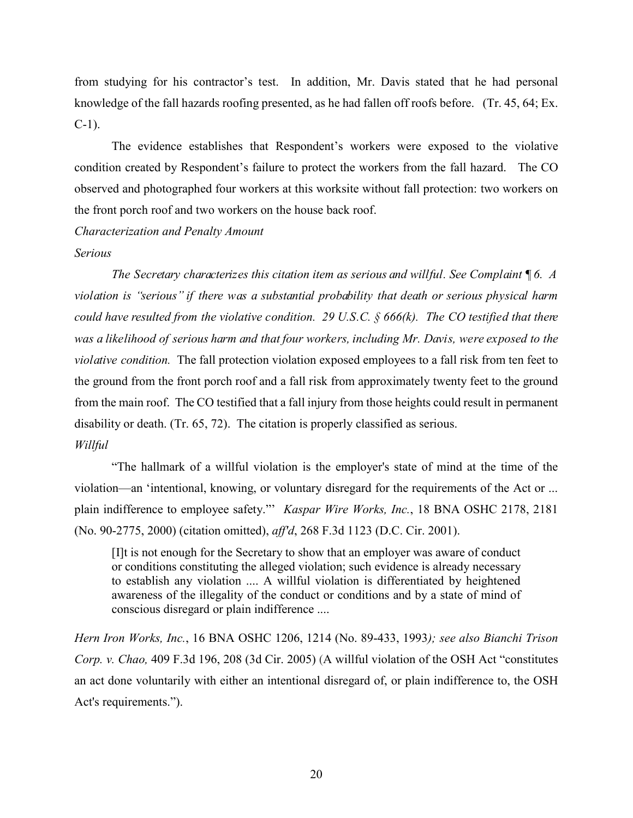from studying for his contractor's test. In addition, Mr. Davis stated that he had personal knowledge of the fall hazards roofing presented, as he had fallen off roofs before. (Tr. 45, 64; Ex. C-1).

The evidence establishes that Respondent's workers were exposed to the violative condition created by Respondent's failure to protect the workers from the fall hazard. The CO observed and photographed four workers at this worksite without fall protection: two workers on the front porch roof and two workers on the house back roof.

*Characterization and Penalty Amount*

### *Serious*

*The Secretary characterizes this citation item as serious and willful. See Complaint ¶ 6. A violation is "serious" if there was a substantial probability that death or serious physical harm could have resulted from the violative condition. 29 U.S.C. § 666(k). The CO testified that there was a likelihood of serious harm and that four workers, including Mr. Davis, were exposed to the violative condition.* The fall protection violation exposed employees to a fall risk from ten feet to the ground from the front porch roof and a fall risk from approximately twenty feet to the ground from the main roof. The CO testified that a fall injury from those heights could result in permanent disability or death. (Tr. 65, 72). The citation is properly classified as serious. *Willful* 

"The hallmark of a willful violation is the employer's state of mind at the time of the violation—an 'intentional, knowing, or voluntary disregard for the requirements of the Act or ... plain indifference to employee safety."' *Kaspar Wire Works, Inc.*, 18 BNA OSHC 2178, 2181 (No. 90-2775, 2000) (citation omitted), *aff'd*, 268 F.3d 1123 (D.C. Cir. 2001).

[I]t is not enough for the Secretary to show that an employer was aware of conduct or conditions constituting the alleged violation; such evidence is already necessary to establish any violation .... A willful violation is differentiated by heightened awareness of the illegality of the conduct or conditions and by a state of mind of conscious disregard or plain indifference ....

*Hern Iron Works, Inc.*, 16 BNA OSHC 1206, 1214 (No. 89-433, 1993*); see also Bianchi Trison Corp. v. Chao,* 409 F.3d 196, 208 (3d Cir. 2005) (A willful violation of the OSH Act "constitutes an act done voluntarily with either an intentional disregard of, or plain indifference to, the OSH Act's requirements.").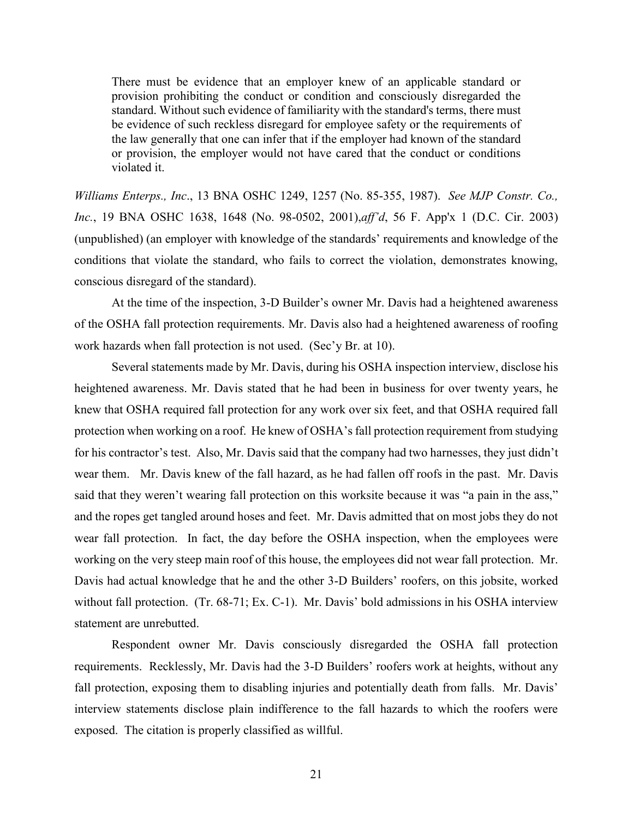There must be evidence that an employer knew of an applicable standard or provision prohibiting the conduct or condition and consciously disregarded the standard. Without such evidence of familiarity with the standard's terms, there must be evidence of such reckless disregard for employee safety or the requirements of the law generally that one can infer that if the employer had known of the standard or provision, the employer would not have cared that the conduct or conditions violated it.

*Williams Enterps., Inc*., 13 BNA OSHC 1249, 1257 (No. 85-355, 1987). *See MJP Constr. Co., Inc.*, 19 BNA OSHC 1638, 1648 (No. 98-0502, 2001),*aff'd*, 56 F. App'x 1 (D.C. Cir. 2003) (unpublished) (an employer with knowledge of the standards' requirements and knowledge of the conditions that violate the standard, who fails to correct the violation, demonstrates knowing, conscious disregard of the standard).

At the time of the inspection, 3-D Builder's owner Mr. Davis had a heightened awareness of the OSHA fall protection requirements. Mr. Davis also had a heightened awareness of roofing work hazards when fall protection is not used. (Sec'y Br. at 10).

Several statements made by Mr. Davis, during his OSHA inspection interview, disclose his heightened awareness. Mr. Davis stated that he had been in business for over twenty years, he knew that OSHA required fall protection for any work over six feet, and that OSHA required fall protection when working on a roof. He knew of OSHA's fall protection requirement from studying for his contractor's test. Also, Mr. Davis said that the company had two harnesses, they just didn't wear them. Mr. Davis knew of the fall hazard, as he had fallen off roofs in the past. Mr. Davis said that they weren't wearing fall protection on this worksite because it was "a pain in the ass," and the ropes get tangled around hoses and feet. Mr. Davis admitted that on most jobs they do not wear fall protection. In fact, the day before the OSHA inspection, when the employees were working on the very steep main roof of this house, the employees did not wear fall protection. Mr. Davis had actual knowledge that he and the other 3-D Builders' roofers, on this jobsite, worked without fall protection. (Tr. 68-71; Ex. C-1). Mr. Davis' bold admissions in his OSHA interview statement are unrebutted.

Respondent owner Mr. Davis consciously disregarded the OSHA fall protection requirements. Recklessly, Mr. Davis had the 3-D Builders' roofers work at heights, without any fall protection, exposing them to disabling injuries and potentially death from falls. Mr. Davis' interview statements disclose plain indifference to the fall hazards to which the roofers were exposed. The citation is properly classified as willful.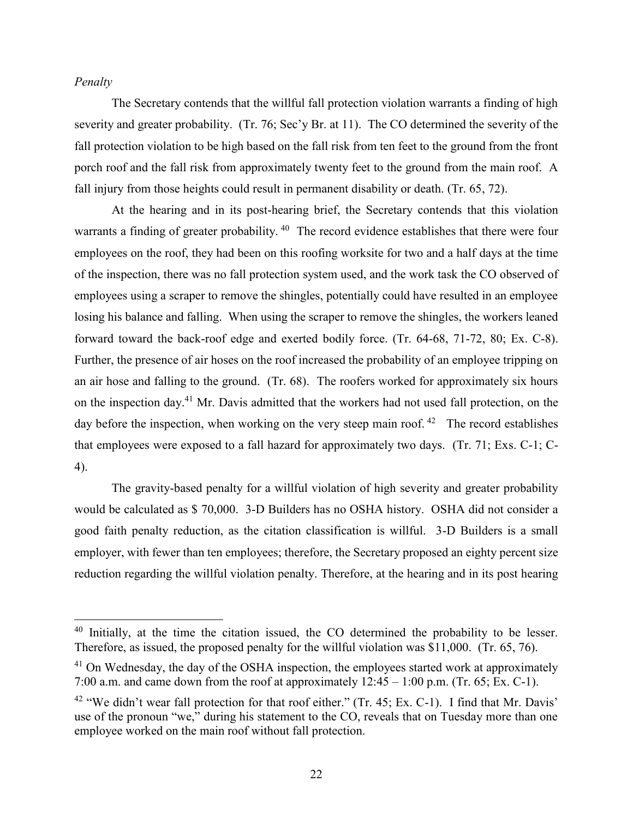# *Penalty*

 $\overline{a}$ 

The Secretary contends that the willful fall protection violation warrants a finding of high severity and greater probability. (Tr. 76; Sec'y Br. at 11). The CO determined the severity of the fall protection violation to be high based on the fall risk from ten feet to the ground from the front porch roof and the fall risk from approximately twenty feet to the ground from the main roof. A fall injury from those heights could result in permanent disability or death. (Tr. 65, 72).

At the hearing and in its post-hearing brief, the Secretary contends that this violation warrants a finding of greater probability. <sup>40</sup> The record evidence establishes that there were four employees on the roof, they had been on this roofing worksite for two and a half days at the time of the inspection, there was no fall protection system used, and the work task the CO observed of employees using a scraper to remove the shingles, potentially could have resulted in an employee losing his balance and falling. When using the scraper to remove the shingles, the workers leaned forward toward the back-roof edge and exerted bodily force. (Tr. 64-68, 71-72, 80; Ex. C-8). Further, the presence of air hoses on the roof increased the probability of an employee tripping on an air hose and falling to the ground. (Tr. 68). The roofers worked for approximately six hours on the inspection day.<sup>41</sup> Mr. Davis admitted that the workers had not used fall protection, on the day before the inspection, when working on the very steep main roof.<sup>42</sup> The record establishes that employees were exposed to a fall hazard for approximately two days. (Tr. 71; Exs. C-1; C-4).

The gravity-based penalty for a willful violation of high severity and greater probability would be calculated as \$ 70,000. 3-D Builders has no OSHA history. OSHA did not consider a good faith penalty reduction, as the citation classification is willful. 3-D Builders is a small employer, with fewer than ten employees; therefore, the Secretary proposed an eighty percent size reduction regarding the willful violation penalty. Therefore, at the hearing and in its post hearing

<sup>&</sup>lt;sup>40</sup> Initially, at the time the citation issued, the CO determined the probability to be lesser. Therefore, as issued, the proposed penalty for the willful violation was \$11,000. (Tr. 65, 76).

 $41$  On Wednesday, the day of the OSHA inspection, the employees started work at approximately 7:00 a.m. and came down from the roof at approximately  $12:45 - 1:00$  p.m. (Tr. 65; Ex. C-1).

<sup>&</sup>lt;sup>42</sup> "We didn't wear fall protection for that roof either." (Tr. 45; Ex. C-1). I find that Mr. Davis' use of the pronoun "we," during his statement to the CO, reveals that on Tuesday more than one employee worked on the main roof without fall protection.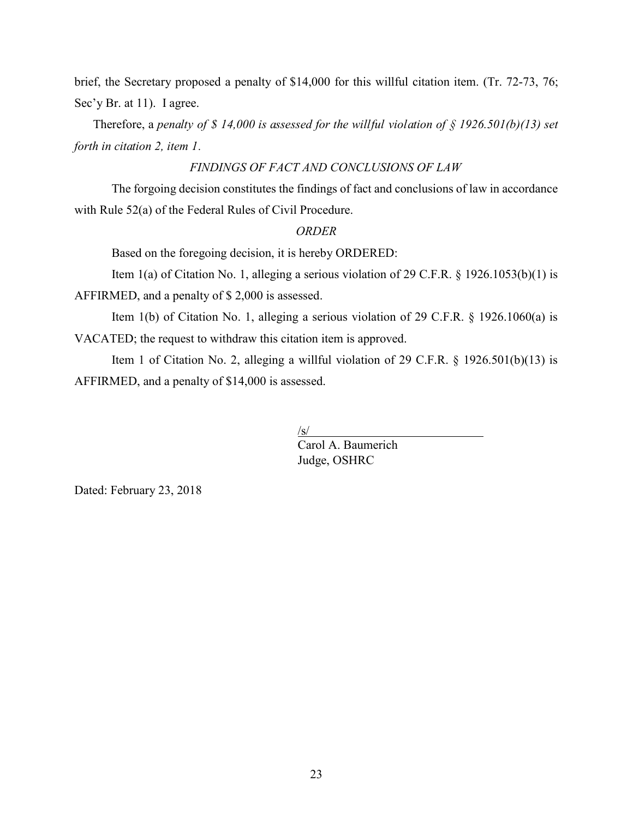brief, the Secretary proposed a penalty of \$14,000 for this willful citation item. (Tr. 72-73, 76; Sec'y Br. at 11). I agree.

Therefore, a *penalty of \$ 14,000 is assessed for the willful violation of § 1926.501(b)(13) set forth in citation 2, item 1.*

# *FINDINGS OF FACT AND CONCLUSIONS OF LAW*

The forgoing decision constitutes the findings of fact and conclusions of law in accordance with Rule 52(a) of the Federal Rules of Civil Procedure.

#### *ORDER*

Based on the foregoing decision, it is hereby ORDERED:

Item 1(a) of Citation No. 1, alleging a serious violation of 29 C.F.R. § 1926.1053(b)(1) is

AFFIRMED, and a penalty of \$ 2,000 is assessed.

Item 1(b) of Citation No. 1, alleging a serious violation of 29 C.F.R. § 1926.1060(a) is VACATED; the request to withdraw this citation item is approved.

Item 1 of Citation No. 2, alleging a willful violation of 29 C.F.R. § 1926.501(b)(13) is AFFIRMED, and a penalty of \$14,000 is assessed.

/s/

Carol A. Baumerich Judge, OSHRC

Dated: February 23, 2018